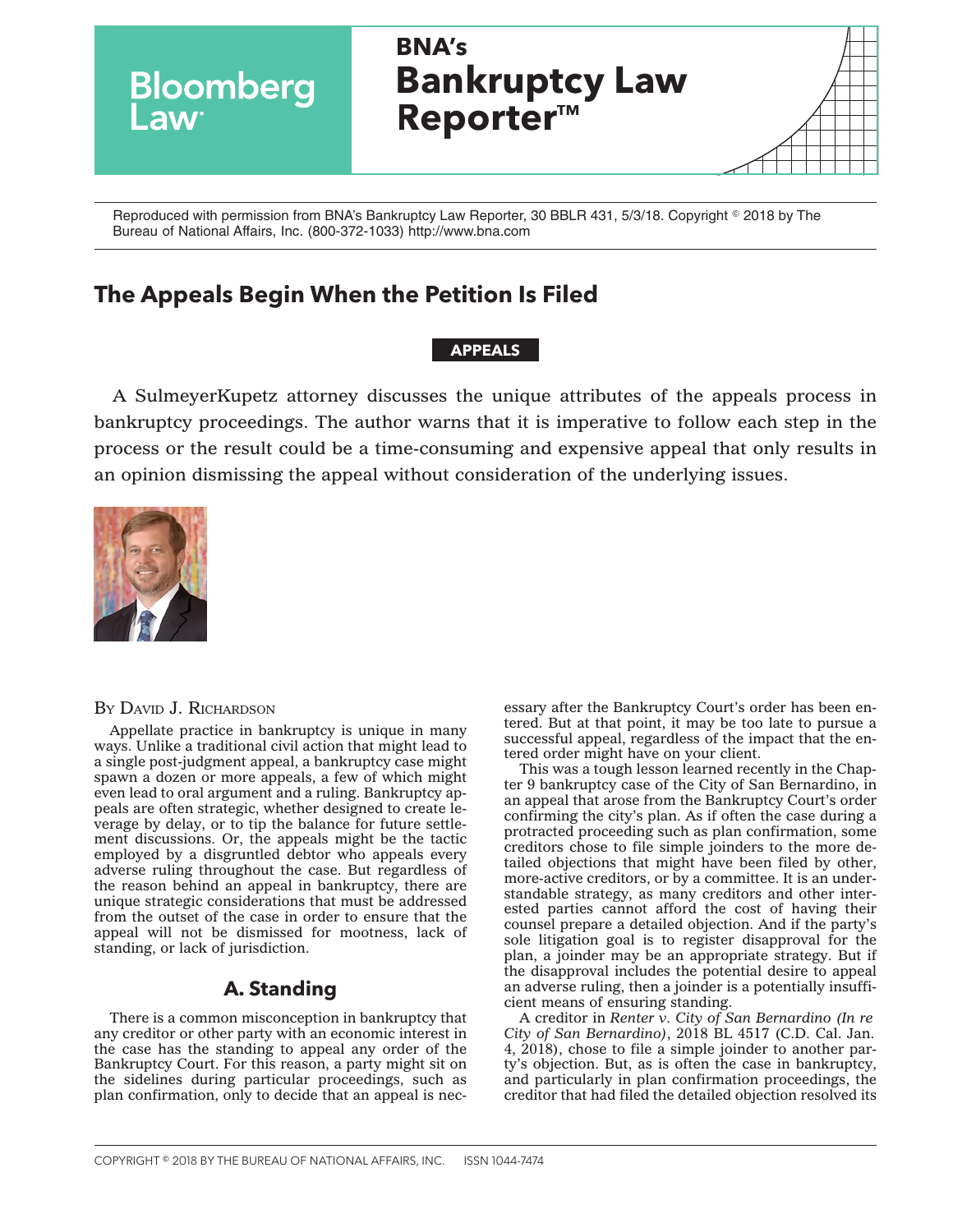

Reproduced with permission from BNA's Bankruptcy Law Reporter, 30 BBLR 431, 5/3/18. Copyright © 2018 by The Bureau of National Affairs, Inc. (800-372-1033) http://www.bna.com

# **The Appeals Begin When the Petition Is Filed**

## **APPEALS**

A SulmeyerKupetz attorney discusses the unique attributes of the appeals process in bankruptcy proceedings. The author warns that it is imperative to follow each step in the process or the result could be a time-consuming and expensive appeal that only results in an opinion dismissing the appeal without consideration of the underlying issues.



#### BY DAVID J. RICHARDSON

Appellate practice in bankruptcy is unique in many ways. Unlike a traditional civil action that might lead to a single post-judgment appeal, a bankruptcy case might spawn a dozen or more appeals, a few of which might even lead to oral argument and a ruling. Bankruptcy appeals are often strategic, whether designed to create leverage by delay, or to tip the balance for future settlement discussions. Or, the appeals might be the tactic employed by a disgruntled debtor who appeals every adverse ruling throughout the case. But regardless of the reason behind an appeal in bankruptcy, there are unique strategic considerations that must be addressed from the outset of the case in order to ensure that the appeal will not be dismissed for mootness, lack of standing, or lack of jurisdiction.

# **A. Standing**

There is a common misconception in bankruptcy that any creditor or other party with an economic interest in the case has the standing to appeal any order of the Bankruptcy Court. For this reason, a party might sit on the sidelines during particular proceedings, such as plan confirmation, only to decide that an appeal is necessary after the Bankruptcy Court's order has been entered. But at that point, it may be too late to pursue a successful appeal, regardless of the impact that the entered order might have on your client.

This was a tough lesson learned recently in the Chapter 9 bankruptcy case of the City of San Bernardino, in an appeal that arose from the Bankruptcy Court's order confirming the city's plan. As if often the case during a protracted proceeding such as plan confirmation, some creditors chose to file simple joinders to the more detailed objections that might have been filed by other, more-active creditors, or by a committee. It is an understandable strategy, as many creditors and other interested parties cannot afford the cost of having their counsel prepare a detailed objection. And if the party's sole litigation goal is to register disapproval for the plan, a joinder may be an appropriate strategy. But if the disapproval includes the potential desire to appeal an adverse ruling, then a joinder is a potentially insufficient means of ensuring standing.

A creditor in *[Renter v. City of San Bernardino \(In re](http://www.bloomberglaw.com/public/document/RentervCityofSanBernardinoInreCityofSanBernardinoNo517cv345ODW201?doc_id=X17RNUUH0000N) [City of San Bernardino\)](http://www.bloomberglaw.com/public/document/RentervCityofSanBernardinoInreCityofSanBernardinoNo517cv345ODW201?doc_id=X17RNUUH0000N)*, 2018 BL 4517 (C.D. Cal. Jan. 4, 2018), chose to file a simple joinder to another party's objection. But, as is often the case in bankruptcy, and particularly in plan confirmation proceedings, the creditor that had filed the detailed objection resolved its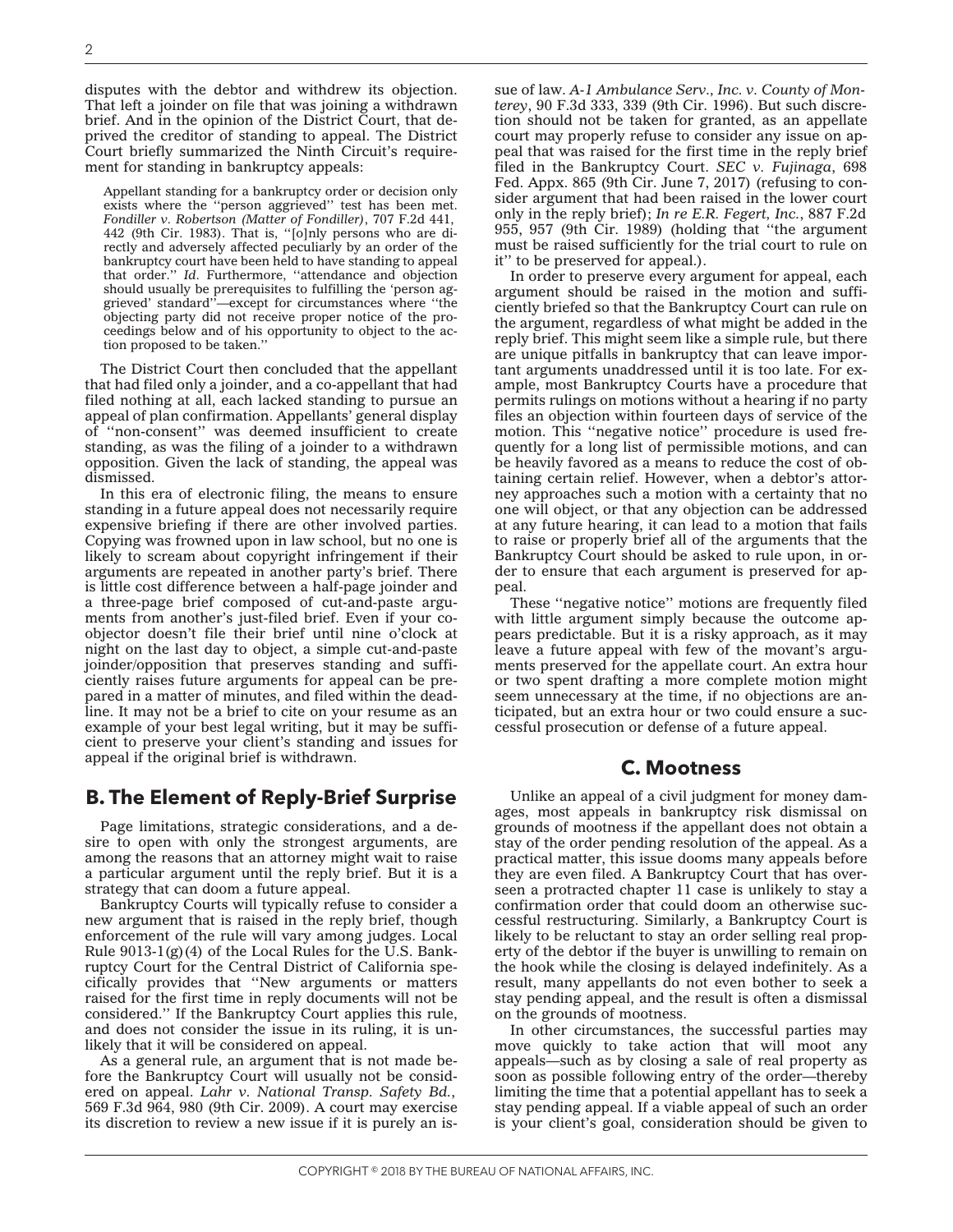disputes with the debtor and withdrew its objection. That left a joinder on file that was joining a withdrawn brief. And in the opinion of the District Court, that deprived the creditor of standing to appeal. The District Court briefly summarized the Ninth Circuit's requirement for standing in bankruptcy appeals:

Appellant standing for a bankruptcy order or decision only exists where the ''person aggrieved'' test has been met. *[Fondiller v. Robertson \(Matter of Fondiller\)](http://www.bloomberglaw.com/public/document/FondillervRobertsonInreFondiller707F2d4419thCir1983CourtOpinion?doc_id=X3J055)*, 707 F.2d 441, 442 (9th Cir. 1983). That is, ''[o]nly persons who are directly and adversely affected peculiarly by an order of the bankruptcy court have been held to have standing to appeal that order.'' *Id*. Furthermore, ''attendance and objection should usually be prerequisites to fulfilling the 'person aggrieved' standard''—except for circumstances where ''the objecting party did not receive proper notice of the proceedings below and of his opportunity to object to the action proposed to be taken.''

The District Court then concluded that the appellant that had filed only a joinder, and a co-appellant that had filed nothing at all, each lacked standing to pursue an appeal of plan confirmation. Appellants' general display of ''non-consent'' was deemed insufficient to create standing, as was the filing of a joinder to a withdrawn opposition. Given the lack of standing, the appeal was dismissed.

In this era of electronic filing, the means to ensure standing in a future appeal does not necessarily require expensive briefing if there are other involved parties. Copying was frowned upon in law school, but no one is likely to scream about copyright infringement if their arguments are repeated in another party's brief. There is little cost difference between a half-page joinder and a three-page brief composed of cut-and-paste arguments from another's just-filed brief. Even if your coobjector doesn't file their brief until nine o'clock at night on the last day to object, a simple cut-and-paste joinder/opposition that preserves standing and sufficiently raises future arguments for appeal can be prepared in a matter of minutes, and filed within the deadline. It may not be a brief to cite on your resume as an example of your best legal writing, but it may be sufficient to preserve your client's standing and issues for appeal if the original brief is withdrawn.

## **B. The Element of Reply-Brief Surprise**

Page limitations, strategic considerations, and a desire to open with only the strongest arguments, are among the reasons that an attorney might wait to raise a particular argument until the reply brief. But it is a strategy that can doom a future appeal.

Bankruptcy Courts will typically refuse to consider a new argument that is raised in the reply brief, though enforcement of the rule will vary among judges. Local Rule 9013-1(g)(4) of the Local Rules for the U.S. Bankruptcy Court for the Central District of California specifically provides that ''New arguments or matters raised for the first time in reply documents will not be considered.'' If the Bankruptcy Court applies this rule, and does not consider the issue in its ruling, it is unlikely that it will be considered on appeal.

As a general rule, an argument that is not made before the Bankruptcy Court will usually not be considered on appeal. *[Lahr v. National Transp. Safety Bd.](http://www.bloomberglaw.com/public/document/LahrvNatlTranspSafetyBd569F3d9649thCir2009CourtOpinion?doc_id=X1B8ON6003)*, 569 F.3d 964, 980 (9th Cir. 2009). A court may exercise its discretion to review a new issue if it is purely an is-

sue of law. *[A-1 Ambulance Serv., Inc. v. County of Mon](http://www.bloomberglaw.com/public/document/A1AmbulanceServIncvCntyofMonterey90F3d3339thCir1996CourtOpinion?doc_id=X3T9B7?jcsearch=90+f+3d+333)[terey](http://www.bloomberglaw.com/public/document/A1AmbulanceServIncvCntyofMonterey90F3d3339thCir1996CourtOpinion?doc_id=X3T9B7?jcsearch=90+f+3d+333)*, 90 F.3d 333, 339 (9th Cir. 1996). But such discretion should not be taken for granted, as an appellate court may properly refuse to consider any issue on appeal that was raised for the first time in the reply brief filed in the Bankruptcy Court. *[SEC v. Fujinaga](http://www.bloomberglaw.com/public/document/SECvFujinaga698FedAppx8659thCir2017CourtOpinion?doc_id=XI8CMNTG000N?jcsearch=2017+wl+2465002)*, 698 Fed. Appx. 865 (9th Cir. June 7, 2017) (refusing to consider argument that had been raised in the lower court only in the reply brief); *[In re E.R. Fegert, Inc.](http://www.bloomberglaw.com/public/document/ORourkevSeaboardSurCoInreERFegertInc887F2d9559thCir1989CourtOpini?doc_id=XAFLRV?jcsearch=887+f+2d+955)*, 887 F.2d 955, 957 (9th Cir. 1989) (holding that ''the argument must be raised sufficiently for the trial court to rule on it'' to be preserved for appeal.).

In order to preserve every argument for appeal, each argument should be raised in the motion and sufficiently briefed so that the Bankruptcy Court can rule on the argument, regardless of what might be added in the reply brief. This might seem like a simple rule, but there are unique pitfalls in bankruptcy that can leave important arguments unaddressed until it is too late. For example, most Bankruptcy Courts have a procedure that permits rulings on motions without a hearing if no party files an objection within fourteen days of service of the motion. This ''negative notice'' procedure is used frequently for a long list of permissible motions, and can be heavily favored as a means to reduce the cost of obtaining certain relief. However, when a debtor's attorney approaches such a motion with a certainty that no one will object, or that any objection can be addressed at any future hearing, it can lead to a motion that fails to raise or properly brief all of the arguments that the Bankruptcy Court should be asked to rule upon, in order to ensure that each argument is preserved for appeal.

These ''negative notice'' motions are frequently filed with little argument simply because the outcome appears predictable. But it is a risky approach, as it may leave a future appeal with few of the movant's arguments preserved for the appellate court. An extra hour or two spent drafting a more complete motion might seem unnecessary at the time, if no objections are anticipated, but an extra hour or two could ensure a successful prosecution or defense of a future appeal.

#### **C. Mootness**

Unlike an appeal of a civil judgment for money damages, most appeals in bankruptcy risk dismissal on grounds of mootness if the appellant does not obtain a stay of the order pending resolution of the appeal. As a practical matter, this issue dooms many appeals before they are even filed. A Bankruptcy Court that has overseen a protracted chapter 11 case is unlikely to stay a confirmation order that could doom an otherwise successful restructuring. Similarly, a Bankruptcy Court is likely to be reluctant to stay an order selling real property of the debtor if the buyer is unwilling to remain on the hook while the closing is delayed indefinitely. As a result, many appellants do not even bother to seek a stay pending appeal, and the result is often a dismissal on the grounds of mootness.

In other circumstances, the successful parties may move quickly to take action that will moot any appeals—such as by closing a sale of real property as soon as possible following entry of the order—thereby limiting the time that a potential appellant has to seek a stay pending appeal. If a viable appeal of such an order is your client's goal, consideration should be given to